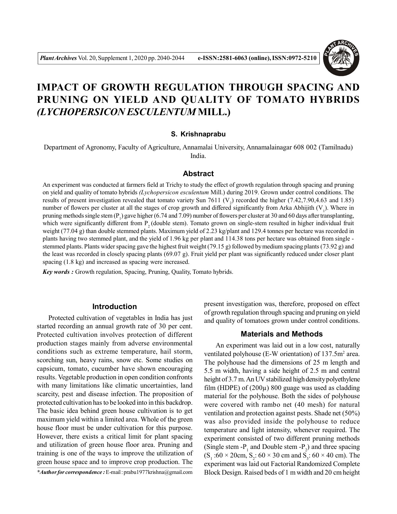

# **IMPACT OF GROWTH REGULATION THROUGH SPACING AND PRUNING ON YIELD AND QUALITY OF TOMATO HYBRIDS** *(LYCHOPERSICON ESCULENTUM* **MILL.)**

#### **S. Krishnaprabu**

Department of Agronomy, Faculty of Agriculture, Annamalai University, Annamalainagar 608 002 (Tamilnadu) India.

#### **Abstract**

An experiment was conducted at farmers field at Trichy to study the effect of growth regulation through spacing and pruning on yield and quality of tomato hybrids *(Lychopersicon esculentum* Mill.) during 2019. Grown under control conditions. The results of present investigation revealed that tomato variety Sun 7611 ( $V_2$ ) recorded the higher (7.42,7.90,4.63 and 1.85) number of flowers per cluster at all the stages of crop growth and differed significantly from Arka Abhijith  $(V_1)$ . Where in pruning methods single stem ( $P_1$ ) gave higher (6.74 and 7.09) number of flowers per cluster at 30 and 60 days after transplanting, which were significantly different from  $P<sub>2</sub>$  (double stem). Tomato grown on single-stem resulted in higher individual fruit weight (77.04 g) than double stemmed plants. Maximum yield of 2.23 kg/plant and 129.4 tonnes per hectare was recorded in plants having two stemmed plant, and the yield of 1.96 kg per plant and 114.38 tons per hectare was obtained from single stemmed plants. Plants wider spacing gave the highest fruit weight (79.15 g) followed by medium spacing plants (73.92 g) and the least was recorded in closely spacing plants (69.07 g). Fruit yield per plant was significantly reduced under closer plant spacing (1.8 kg) and increased as spacing were increased.

*Key words :* Growth regulation, Spacing, Pruning, Quality, Tomato hybrids.

## **Introduction**

Protected cultivation of vegetables in India has just started recording an annual growth rate of 30 per cent. Protected cultivation involves protection of different production stages mainly from adverse environmental conditions such as extreme temperature, hail storm, scorching sun, heavy rains, snow etc. Some studies on capsicum, tomato, cucumber have shown encouraging results. Vegetable production in open condition confronts with many limitations like climatic uncertainties, land scarcity, pest and disease infection. The proposition of protected cultivation has to be looked into in this backdrop. The basic idea behind green house cultivation is to get maximum yield within a limited area. Whole of the green house floor must be under cultivation for this purpose. However, there exists a critical limit for plant spacing and utilization of green house floor area. Pruning and training is one of the ways to improve the utilization of green house space and to improve crop production. The

*\*Author for correspondence :* E-mail : prabu1977krishna@gmail.com

present investigation was, therefore, proposed on effect of growth regulation through spacing and pruning on yield and quality of tomatoes grown under control conditions.

#### **Materials and Methods**

An experiment was laid out in a low cost, naturally ventilated polyhouse (E-W orientation) of  $137.5 \text{m}^2$  area. The polyhouse had the dimensions of 25 m length and 5.5 m width, having a side height of 2.5 m and central height of 3.7 m. An UV stabilized high density polyethylene film (HDPE) of  $(200\mu)$  800 guage was used as cladding material for the polyhouse. Both the sides of polyhouse were covered with rambo net (40 mesh) for natural ventilation and protection against pests. Shade net (50%) was also provided inside the polyhouse to reduce temperature and light intensity, whenever required. The experiment consisted of two different pruning methods (Single stem  $-P_1$  and Double stem  $-P_2$ ) and three spacing  $(S_1:60 \times 20cm, S_2: 60 \times 30cm, and S_3: 60 \times 40cm)$ . The experiment was laid out Factorial Randomized Complete Block Design. Raised beds of 1 m width and 20 cm height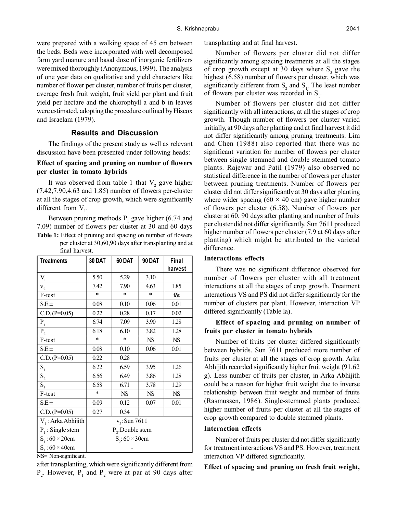were prepared with a walking space of 45 cm between the beds. Beds were incorporated with well decomposed farm yard manure and basal dose of inorganic fertilizers were mixed thoroughly (Anonymous, 1999). The analysis of one year data on qualitative and yield characters like number of flower per cluster, number of fruits per cluster, average fresh fruit weight, fruit yield per plant and fruit yield per hectare and the chlorophyll a and b in leaves were estimated, adopting the procedure outlined by Hiscox and Israelam (1979).

# **Results and Discussion**

The findings of the present study as well as relevant discussion have been presented under following heads:

## **Effect of spacing and pruning on number of flowers per cluster in tomato hybrids**

It was observed from table 1 that  $V_2$  gave higher (7.42,7.90,4.63 and 1.85) number of flowers per-cluster at all the stages of crop growth, which were significantly different from  $V_1$ .

Between pruning methods  $P_1$  gave higher (6.74 and 7.09) number of flowers per cluster at 30 and 60 days **Table 1:** Effect of pruning and spacing on number of flowers

per cluster at 30,60,90 days after transplanting and at final harvest.

| <b>Treatments</b>    | 30 DAT               | 60 DAT    | 90 DAT    | Final     |  |  |  |
|----------------------|----------------------|-----------|-----------|-----------|--|--|--|
|                      |                      |           |           | harvest   |  |  |  |
| $\rm V_{_1}$         | 5.50                 | 5.29      | 3.10      |           |  |  |  |
| $V_2$                | 7.42                 | 7.90      | 4.63      | 1.85      |  |  |  |
| F-test               | $\ast$               | $\ast$    | $\ast$    | f&        |  |  |  |
| $S.E. \pm$           | 0.08                 | 0.10      | 0.06      | 0.01      |  |  |  |
| $C.D. (P=0.05)$      | 0.22                 | 0.28      | 0.17      | 0.02      |  |  |  |
| $\mathbf{P}_{1}$     | 6.74                 | 7.09      | 3.90      | 1.28      |  |  |  |
| $P_{2}$              | 6.18                 | 6.10      | 3.82      | 1.28      |  |  |  |
| F-test               | $\ast$               | $\ast$    | <b>NS</b> | <b>NS</b> |  |  |  |
| $S.E. \pm$           | 0.08                 | 0.10      | 0.06      | 0.01      |  |  |  |
| $C.D. (P=0.05)$      | 0.22                 | 0.28      |           |           |  |  |  |
| $S_{1}$              | 6.22                 | 6.59      | 3.95      | 1.26      |  |  |  |
| $\overline{S_2}$     | 6.56                 | 6.49      | 3.86      | 1.28      |  |  |  |
| $\overline{S_{3}}$   | 6.58                 | 6.71      | 3.78      | 1.29      |  |  |  |
| F-test               | $\ast$               | <b>NS</b> | <b>NS</b> | <b>NS</b> |  |  |  |
| $S.E. \pm$           | 0.09                 | 0.12      | 0.07      | 0.01      |  |  |  |
| $C.D. (P=0.05)$      | 0.27                 | 0.34      |           |           |  |  |  |
| $V1$ : Arka Abhijith | $v_{2}$ : Sun 7611   |           |           |           |  |  |  |
| $P_1$ : Single stem  | $P_{2}$ :Double stem |           |           |           |  |  |  |
| $S_1$ : 60 × 20cm    | $S_{2}$ : 60 × 30cm  |           |           |           |  |  |  |
| $S_3$ : 60 × 40cm    |                      |           |           |           |  |  |  |

NS= Non-significant.

after transplanting, which were significantly different from  $P_2$ . However,  $P_1$  and  $P_2$  were at par at 90 days after

transplanting and at final harvest.

Number of flowers per cluster did not differ significantly among spacing treatments at all the stages of crop growth except at 30 days where  $S_3$  gave the highest (6.58) number of flowers per cluster, which was significantly different from  $S_2$  and  $S_1$ . The least number of flowers per cluster was recorded in  $S_1$ .

Number of flowers per cluster did not differ significantly with all interactions, at all the stages of crop growth. Though number of flowers per cluster varied initially, at 90 days after planting and at final harvest it did not differ significantly among pruning treatments. Lim and Chen (1988) also reported that there was no significant variation for number of flowers per cluster between single stemmed and double stemmed tomato plants. Rajewar and Patil (1979) also observed no statistical difference in the number of flowers per cluster between pruning treatments. Number of flowers per cluster did not differ significantly at 30 days after planting where wider spacing  $(60 \times 40 \text{ cm})$  gave higher number of flowers per cluster (6.58). Number of flowers per cluster at 60, 90 days after planting and number of fruits per cluster did not differ significantly. Sun 7611 produced higher number of flowers per cluster (7.9 at 60 days after planting) which might be attributed to the varietal difference.

#### **Interactions effects**

There was no significant difference observed for number of flowers per cluster with all treatment interactions at all the stages of crop growth. Treatment interactions VS and PS did not differ significantly for the number of clusters per plant. However, interaction VP differed significantly (Table la).

## **Effect of spacing and pruning on number of fruits per cluster in tomato hybrids**

Number of fruits per cluster differed significantly between hybrids. Sun 7611 produced more number of fruits per cluster at all the stages of crop growth. Arka Abhijith recorded significantly higher fruit weight (91.62 g). Less number of fruits per cluster, in Arka Abhijith could be a reason for higher fruit weight due to inverse relationship between fruit weight and number of fruits (Rasmussen, 1986). Single-stemmed plants produced higher number of fruits per cluster at all the stages of crop growth compared to double stemmed plants.

## **Interaction effects**

Number of fruits per cluster did not differ significantly for treatment interactions VS and PS. However, treatment interaction VP differed significantly.

#### **Effect of spacing and pruning on fresh fruit weight,**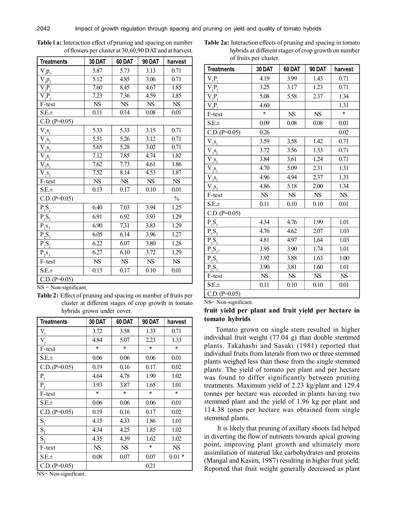| <b>Treatments</b>                                           | 30 DAT                 | 60 DAT                 | 90 DAT                 | harvest                |
|-------------------------------------------------------------|------------------------|------------------------|------------------------|------------------------|
| $V_{\underline{1}\underline{p}_1}$                          | 5.87                   | 5.73                   | 3.13                   | 0.71                   |
| $V_1p_2$                                                    | 5.12                   | 4.85                   | 3.06                   | 0.71                   |
| $\overline{V_2P_1}$                                         | 7.60                   | 8.45                   | 4.67                   | 1.85                   |
| $\overline{\mathrm{V_{2}P_{2}}}$                            | 7.23                   | 7.36                   | 4.59                   | 1.85                   |
| F-test                                                      | $\overline{\text{NS}}$ | <b>NS</b>              | $\overline{\text{NS}}$ | $\overline{\text{NS}}$ |
| $S.E. \pm$                                                  | 0.11                   | 0.14                   | 0.08                   | 0.01                   |
| $C.D. (P=0.05)$                                             |                        |                        |                        |                        |
| $V_1s_1$                                                    | 5.33                   | 5.33                   | 3.15                   | 0.71                   |
| $\overline{V}_{\underline{1}\underline{S}_{\underline{2}}}$ | $\overline{5.51}$      | 5.26                   | 3.12                   | 0.71                   |
| $\overline{V}_{1} s_3$                                      | 5.65                   | 5.28                   | 3.02                   | 0.71                   |
| $V_{22}S_{1}$                                               | 7.12                   | 7.85                   | 4.74                   | 1.82                   |
| $\overline{V}_{22}S_2$                                      | 7.62                   | 7.73                   | 4.61                   | 1.86                   |
| $\overline{V}_{2\frac{S_{3}}{2}}$                           | 7.52                   | 8.14                   | 4.53                   | 1.87                   |
| $\overline{F-test}$                                         | $\overline{\text{NS}}$ | $\overline{\text{NS}}$ | $\overline{\text{NS}}$ | $\overline{\text{NS}}$ |
| $S.E. \pm$                                                  | 0.13                   | 0.17                   | 0.10                   | 0.01                   |
| $C.D. (P=0.05)$                                             |                        |                        |                        | $\%$                   |
| $P_1S_1$                                                    | 6.40                   | 7.03                   | 3.94                   | 1.25                   |
| $P_1S_2$                                                    | 6.91                   | 6.92                   | 3.93                   | 1.29                   |
| $P_1S_3$                                                    | 6.90                   | 7.31                   | 3.83                   | 1.29                   |
| $P_2S_3$                                                    | 6.05                   | 6.14                   | 3.96                   | 1.27                   |
| $P_2S_2$                                                    | 6.22                   | 6.07                   | 3.80                   | 1.28                   |
| $P_2S_3$                                                    | 6.27                   | 6.10                   | 3.72                   | 1.29                   |
| F-test                                                      | $\overline{\text{NS}}$ | ${\rm NS}$             | ${\rm NS}$             | <b>NS</b>              |
| $S.E. \pm$                                                  | 0.13                   | 0.17                   | 0.10                   | 0.01                   |
| $C.D. (P=0.05)$                                             |                        |                        |                        |                        |

**Table l a:** Interaction effect of pruning and spacing on number of flowers per cluster at 30,60,90 DAT and at harvest.

NS = Non-significant.

**Table 2:** Effect of pruning and spacing on number of fruits per cluster at different stages of crop growth in tomato hybrids grown under cover.

| <b>Treatments</b> | <b>30 DAT</b> | 60 DAT    | <b>90 DAT</b> | harvest |
|-------------------|---------------|-----------|---------------|---------|
| $V_{1}$           | 3.72          | 3.58      | 1.33          | 0.71    |
| $V_{2}$           | 4.84          | 5.07      | 2.23          | 1.33    |
| F-test            | $\star$       | $\ast$    | $\ast$        | $\ast$  |
| $S.E. \pm$        | 0.06          | 0.06      | 0.06          | 0.01    |
| $C.D. (P=0.05)$   | 0.19          | 0.16      | 0.17          | 0.02    |
| $P_1$             | 4.64          | 4.78      | 1.90          | 1.02    |
| $P_2$             | 3.93          | 3.87      | 1.65          | 1.01    |
| F-test            | $\ast$        | $\ast$    | $\ast$        | $\ast$  |
| $S.E. \pm$        | 0.06          | 0.06      | 0.06          | 0.01    |
| $C.D. (P=0.05)$   | 0.19          | 0.16      | 0.17          | 0.02    |
| S <sub>1</sub>    | 4.15          | 4.33      | 1.86          | 1.01    |
| $S_2$             | 4.34          | 4.25      | 1.85          | 1.02    |
| $S_{\rm a}$       | 4.35          | 4.39      | 1.62          | 1.02    |
| F-test            | <b>NS</b>     | <b>NS</b> | $\ast$        | NS      |
| $S.E. \pm$        | 0.08          | 0.07      | 0.07          | $0.01*$ |
| $C.D. (P=0.05)$   |               |           | 0.21          |         |

NS= Non-significant.

**Table 2a:** Interaction effects of pruning and spacing in tomato hybrids at different stages of crop growth on number of fruits per cluster.

| <b>Treatments</b> | 30 DAT | 60 DAT     | <b>90 DAT</b> | harvest   |
|-------------------|--------|------------|---------------|-----------|
| $V_1P_1$          | 4.19   | 3.99       | 1.43          | 0.71      |
| $V_1P_2$          | 3.25   | 3.17       | 1.23          | 0.71      |
| $V_2P_1$          | 5.08   | 5.58       | 2.37          | 1.34      |
| $V_{,P_{,}}$      | 4.60   |            |               | 1.31      |
| F-test            | $\ast$ | NS         | <b>NS</b>     | $\ast$    |
| $S.E. \pm$        | 0.09   | 0.08       | 0.08          | 0.01      |
| $C.D. (P=0.05)$   | 0.26   |            |               | 0.02      |
| $V_1s_1$          | 3.59   | 3.58       | 1.42          | 0.71      |
| $V_{12}S_2$       | 3.72   | 3.56       | 1.33          | 0.71      |
| $V_{12}S_{3}$     | 3.84   | 3.61       | 1.24          | 0.71      |
| $V_{22}S_1$       | 4.70   | 5.09       | 2.31          | 1.31      |
| $V_{2S_{2}}$      | 4.96   | 4.94       | 2.37          | 1.33      |
| $V_2S_3$          | 4.86   | 5.18       | 2.00          | 1.34      |
| F-test            | NS     | <b>NS</b>  | <b>NS</b>     | <b>NS</b> |
| $S.E. \pm$        | 0.11   | 0.10       | 0.10          | 0.01      |
| $C.D. (P=0.05)$   |        |            |               |           |
| $P_1S_1$          | 4.34   | 4.76       | 1.99          | 1.01      |
| $P_1S_2$          | 4.76   | 4.62       | 2.07          | 1.03      |
| $P_1S_3$          | 4.81   | 4.97       | 1.64          | 1.03      |
| $P_2S_1$          | 3.95   | 3.90       | 1.74          | 1.01      |
| $P_2S_2$          | 3.92   | 3.88       | 1.63          | 1.00      |
| $P_2S_3$          | 3.90   | 3.81       | 1.60          | 1.01      |
| F-test            | NS     | ${\rm NS}$ | <b>NS</b>     | NS        |
| $S.E. \pm$        | 0.11   | 0.10       | 0.10          | 0.01      |
| $C.D. (P=0.05)$   |        |            |               |           |

NS= Non-significant.

## **fruit yield per plant and fruit yield per hectare in tomato hybrids**

Tomato grown on single stem resulted in higher individual fruit weight (77.04 g) than double stemmed plants. Takahashi and Sasaki (1981) reported that individual fruits from laterals from two or three stemmed plants weighed less than those from the single stemmed plants. The yield of tomato per plant and per hectare was found to differ significantly between pruning treatments. Maximum yield of 2.23 kg/plant and 129.4 tonnes per hectare was recorded in plants having two stemmed plant and the yield of 1.96 kg per plant and 114.38 tones per hectare was obtained from single stemmed plants.

 It is likely that pruning of axillary shoots fad helped in diverting the flow of nutrients towards apical growing point, improving plant growth and ultimately more assimilation of material like carbohydrates and proteins (Mangal and Kasim, 1987) resulting in higher fruit yield. Reported that fruit weight generally decreased as plant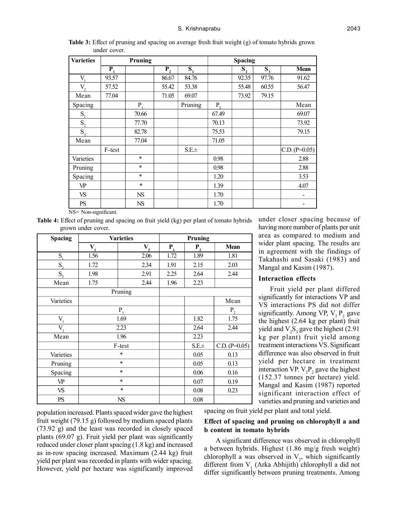| <b>Varieties</b> |                  | Pruning   |         |                           |         | <b>Spacing</b>            |       |                 |
|------------------|------------------|-----------|---------|---------------------------|---------|---------------------------|-------|-----------------|
|                  | $\overline{P_1}$ |           | $P_{2}$ | $\overline{\mathbf{S}_1}$ |         | $\overline{\mathbf{S}_2}$ | $S_3$ | <b>Mean</b>     |
| V.               | 93.57            |           | 86.67   | 84.76                     |         | 92.35                     | 97.76 | 91.62           |
| V,               | 57.52            |           | 55.42   | 53.38                     |         | 55.48                     | 60.55 | 56.47           |
| Mean             | 77.04            |           | 71.05   | 69.07                     |         | 73.92                     | 79.15 |                 |
| Spacing          |                  | P.        |         | Pruning                   | $P_{2}$ |                           |       | Mean            |
| $S_{1}$          |                  | 70.66     |         |                           | 67.49   |                           |       | 69.07           |
| $S_2$            |                  | 77.70     |         |                           | 70.13   |                           |       | 73.92           |
| $S_{\rm a}$      |                  | 82.78     |         |                           | 75.53   |                           |       | 79.15           |
| Mean             |                  | 77.04     |         |                           | 71.05   |                           |       |                 |
|                  | F-test           |           |         | $S.E. \pm$                |         |                           |       | $C.D. (P=0.05)$ |
| Varieties        |                  | $\ast$    |         |                           | 0.98    |                           |       | 2.88            |
| Pruning          |                  | $\ast$    |         |                           | 0.98    |                           |       | 2.88            |
| Spacing          |                  | $\ast$    |         |                           | 1.20    |                           |       | 3.53            |
| VP               |                  | $\ast$    |         |                           | 1.39    |                           |       | 4.07            |
| VS               |                  | <b>NS</b> |         |                           | 1.70    |                           |       |                 |
| PS               |                  | <b>NS</b> |         |                           | 1.70    |                           |       |                 |

**Table 3:** Effect of pruning and spacing on average fresh fruit weight (g) of tomato hybrids grown under cover.

NS= Non-significant.

**Table 4:** Effect of pruning and spacing on fruit yield (kg) per plant of tomato hybrids grown under cover.

| <b>Spacing</b> |         | <b>Varieties</b> |         | Pruning    |                 |
|----------------|---------|------------------|---------|------------|-----------------|
|                | $V_{1}$ | $V_{2}$          | $P_{1}$ | $P_{2}$    | Mean            |
| $S_{1}$        | 1.56    | 2.06             | 1.72    | 1.89       | 1.81            |
| $S_{2}$        | 1.72    | 2.34             | 1.91    | 2.15       | 2.03            |
| $S_{\rm a}$    | 1.98    | 2.91             | 2.25    | 2.64       | 2.44            |
| Mean           | 1.75    | 2.44             | 1.96    | 2.23       |                 |
|                |         | Pruning          |         |            |                 |
| Varieties      |         |                  |         |            | Mean            |
|                |         | P                |         |            | P <sub>2</sub>  |
| $V_{1}$        | 1.69    |                  |         | 1.82       | 1.75            |
| $V_{2}$        | 2.23    |                  |         | 2.64       | 2.44            |
| Mean           |         | 1.96             |         | 2.23       |                 |
|                |         | F-test           |         | $S.E. \pm$ | $C.D. (P=0.05)$ |
| Varieties      | $\ast$  |                  |         | 0.05       | 0.13            |
| Pruning        |         | $\ast$           |         | 0.05       | 0.13            |
| Spacing        |         | $\ast$           |         | 0.06       | 0.16            |
| VP             |         | $\ast$           |         | 0.07       | 0.19            |
| VS             |         | $\ast$           |         | 0.08       | 0.23            |
| PS             |         | NS               |         | 0.08       |                 |

population increased. Plants spaced wider gave the highest fruit weight (79.15 g) followed by medium spaced plants (73.92 g) and the least was recorded in closely spaced plants (69.07 g). Fruit yield per plant was significantly reduced under closer plant spacing (1.8 kg) and increased as in-row spacing increased. Maximum (2.44 kg) fruit yield per plant was recorded in plants with wider spacing. However, yield per hectare was significantly improved under closer spacing because of having more number of plants per unit area as compared to medium and wider plant spacing. The results are in agreement with the findings of Takahashi and Sasaki (1983) and Mangal and Kasim (1987).

#### **Interaction effects**

Fruit yield per plant differed significantly for interactions VP and VS interactions PS did not differ significantly. Among VP,  $V_2 P_2$  gave the highest (2.64 kg per plant) fruit yield and  $V_2S_3$  gave the highest (2.91) kg per plant) fruit yield among treatment interactions VS. Significant difference was also observed in fruit yield per hectare in treatment interaction VP.  $V_2P_2$  gave the highest (152.37 tonnes per hectare) yield. Mangal and Kasim (1987) reported significant interaction effect of varieties and pruning and varieties and

spacing on fruit yield per plant and total yield.

## **Effect of spacing and pruning on chlorophyll a and b content in tomato hybrids**

A significant difference was observed in chlorophyll a between hybrids. Highest (1.86 mg/g fresh weight) chlorophyll a was observed in  $V_2$ , which significantly different from  $V_1$  (Arka Abhijith) chlorophyll a did not differ significantly between pruning treatments. Among